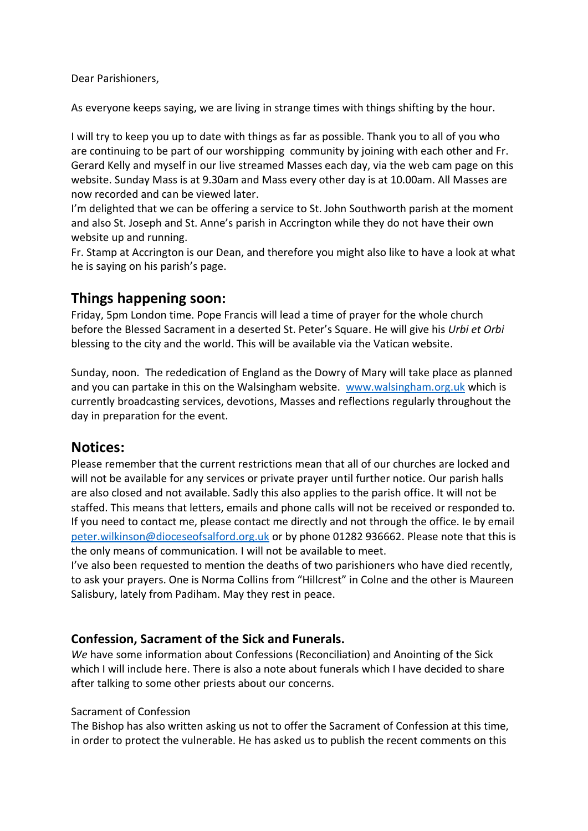Dear Parishioners,

As everyone keeps saying, we are living in strange times with things shifting by the hour.

I will try to keep you up to date with things as far as possible. Thank you to all of you who are continuing to be part of our worshipping community by joining with each other and Fr. Gerard Kelly and myself in our live streamed Masses each day, via the web cam page on this website. Sunday Mass is at 9.30am and Mass every other day is at 10.00am. All Masses are now recorded and can be viewed later.

I'm delighted that we can be offering a service to St. John Southworth parish at the moment and also St. Joseph and St. Anne's parish in Accrington while they do not have their own website up and running.

Fr. Stamp at Accrington is our Dean, and therefore you might also like to have a look at what he is saying on his parish's page.

# **Things happening soon:**

Friday, 5pm London time. Pope Francis will lead a time of prayer for the whole church before the Blessed Sacrament in a deserted St. Peter's Square. He will give his *Urbi et Orbi*  blessing to the city and the world. This will be available via the Vatican website.

Sunday, noon. The rededication of England as the Dowry of Mary will take place as planned and you can partake in this on the Walsingham website. [www.walsingham.org.uk](http://www.walsingham.org.uk/) which is currently broadcasting services, devotions, Masses and reflections regularly throughout the day in preparation for the event.

## **Notices:**

Please remember that the current restrictions mean that all of our churches are locked and will not be available for any services or private prayer until further notice. Our parish halls are also closed and not available. Sadly this also applies to the parish office. It will not be staffed. This means that letters, emails and phone calls will not be received or responded to. If you need to contact me, please contact me directly and not through the office. Ie by email [peter.wilkinson@dioceseofsalford.org.uk](mailto:peter.wilkinson@dioceseofsalford.org.uk) or by phone 01282 936662. Please note that this is the only means of communication. I will not be available to meet.

I've also been requested to mention the deaths of two parishioners who have died recently, to ask your prayers. One is Norma Collins from "Hillcrest" in Colne and the other is Maureen Salisbury, lately from Padiham. May they rest in peace.

## **Confession, Sacrament of the Sick and Funerals.**

*We* have some information about Confessions (Reconciliation) and Anointing of the Sick which I will include here. There is also a note about funerals which I have decided to share after talking to some other priests about our concerns.

### Sacrament of Confession

The Bishop has also written asking us not to offer the Sacrament of Confession at this time, in order to protect the vulnerable. He has asked us to publish the recent comments on this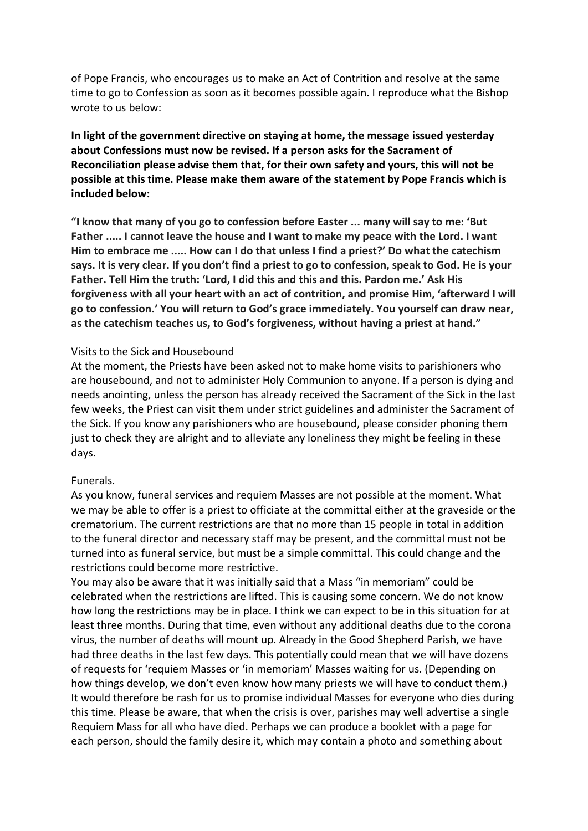of Pope Francis, who encourages us to make an Act of Contrition and resolve at the same time to go to Confession as soon as it becomes possible again. I reproduce what the Bishop wrote to us below:

**In light of the government directive on staying at home, the message issued yesterday about Confessions must now be revised. If a person asks for the Sacrament of Reconciliation please advise them that, for their own safety and yours, this will not be possible at this time. Please make them aware of the statement by Pope Francis which is included below:** 

**"I know that many of you go to confession before Easter ... many will say to me: 'But Father ..... I cannot leave the house and I want to make my peace with the Lord. I want Him to embrace me ..... How can I do that unless I find a priest?' Do what the catechism says. It is very clear. If you don't find a priest to go to confession, speak to God. He is your Father. Tell Him the truth: 'Lord, I did this and this and this. Pardon me.' Ask His forgiveness with all your heart with an act of contrition, and promise Him, 'afterward I will go to confession.' You will return to God's grace immediately. You yourself can draw near, as the catechism teaches us, to God's forgiveness, without having a priest at hand."** 

### Visits to the Sick and Housebound

At the moment, the Priests have been asked not to make home visits to parishioners who are housebound, and not to administer Holy Communion to anyone. If a person is dying and needs anointing, unless the person has already received the Sacrament of the Sick in the last few weeks, the Priest can visit them under strict guidelines and administer the Sacrament of the Sick. If you know any parishioners who are housebound, please consider phoning them just to check they are alright and to alleviate any loneliness they might be feeling in these days.

#### Funerals.

As you know, funeral services and requiem Masses are not possible at the moment. What we may be able to offer is a priest to officiate at the committal either at the graveside or the crematorium. The current restrictions are that no more than 15 people in total in addition to the funeral director and necessary staff may be present, and the committal must not be turned into as funeral service, but must be a simple committal. This could change and the restrictions could become more restrictive.

You may also be aware that it was initially said that a Mass "in memoriam" could be celebrated when the restrictions are lifted. This is causing some concern. We do not know how long the restrictions may be in place. I think we can expect to be in this situation for at least three months. During that time, even without any additional deaths due to the corona virus, the number of deaths will mount up. Already in the Good Shepherd Parish, we have had three deaths in the last few days. This potentially could mean that we will have dozens of requests for 'requiem Masses or 'in memoriam' Masses waiting for us. (Depending on how things develop, we don't even know how many priests we will have to conduct them.) It would therefore be rash for us to promise individual Masses for everyone who dies during this time. Please be aware, that when the crisis is over, parishes may well advertise a single Requiem Mass for all who have died. Perhaps we can produce a booklet with a page for each person, should the family desire it, which may contain a photo and something about